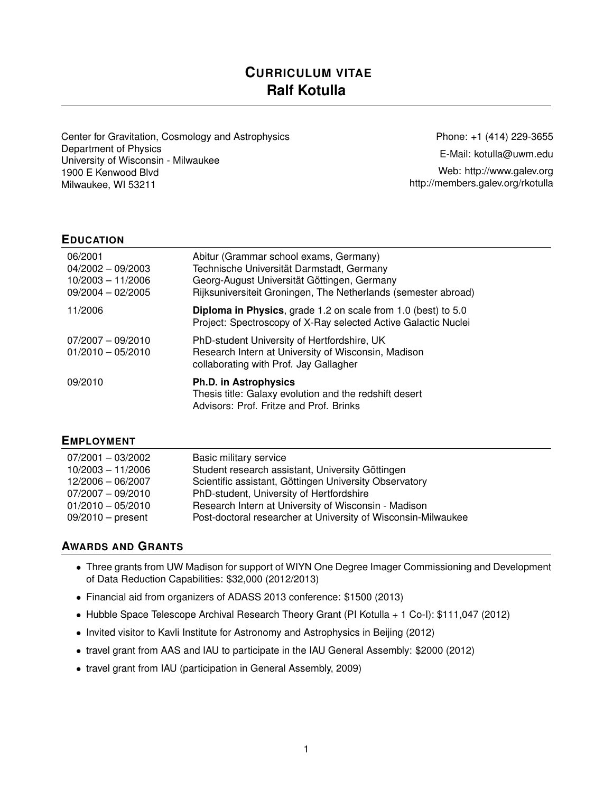# **CURRICULUM VITAE Ralf Kotulla**

Center for Gravitation, Cosmology and Astrophysics Department of Physics University of Wisconsin - Milwaukee 1900 E Kenwood Blvd Milwaukee, WI 53211

Phone: +1 (414) 229-3655 E-Mail: [kotulla@uwm.edu](mailto:kotulla@uwm.edu) Web: <http://www.galev.org> <http://members.galev.org/rkotulla>

#### **EDUCATION**

| 06/2001<br>$04/2002 - 09/2003$<br>$10/2003 - 11/2006$<br>$09/2004 - 02/2005$ | Abitur (Grammar school exams, Germany)<br>Technische Universität Darmstadt, Germany<br>Georg-August Universität Göttingen, Germany<br>Rijksuniversiteit Groningen, The Netherlands (semester abroad) |
|------------------------------------------------------------------------------|------------------------------------------------------------------------------------------------------------------------------------------------------------------------------------------------------|
| 11/2006                                                                      | <b>Diploma in Physics, grade 1.2 on scale from 1.0 (best) to 5.0</b><br>Project: Spectroscopy of X-Ray selected Active Galactic Nuclei                                                               |
| $07/2007 - 09/2010$<br>$01/2010 - 05/2010$                                   | PhD-student University of Hertfordshire, UK<br>Research Intern at University of Wisconsin, Madison<br>collaborating with Prof. Jay Gallagher                                                         |
| 09/2010                                                                      | <b>Ph.D. in Astrophysics</b><br>Thesis title: Galaxy evolution and the redshift desert<br>Advisors: Prof. Fritze and Prof. Brinks                                                                    |

#### **EMPLOYMENT**

| 07/2001 - 03/2002   | Basic military service                                        |
|---------------------|---------------------------------------------------------------|
| $10/2003 - 11/2006$ | Student research assistant, University Göttingen              |
| 12/2006 - 06/2007   | Scientific assistant, Göttingen University Observatory        |
| 07/2007 - 09/2010   | PhD-student, University of Hertfordshire                      |
| $01/2010 - 05/2010$ | Research Intern at University of Wisconsin - Madison          |
| $09/2010$ – present | Post-doctoral researcher at University of Wisconsin-Milwaukee |

### **AWARDS AND GRANTS**

- Three grants from UW Madison for support of WIYN One Degree Imager Commissioning and Development of Data Reduction Capabilities: \$32,000 (2012/2013)
- Financial aid from organizers of ADASS 2013 conference: \$1500 (2013)
- Hubble Space Telescope Archival Research Theory Grant (PI Kotulla + 1 Co-I): \$111,047 (2012)
- Invited visitor to Kavli Institute for Astronomy and Astrophysics in Beijing (2012)
- travel grant from AAS and IAU to participate in the IAU General Assembly: \$2000 (2012)
- travel grant from IAU (participation in General Assembly, 2009)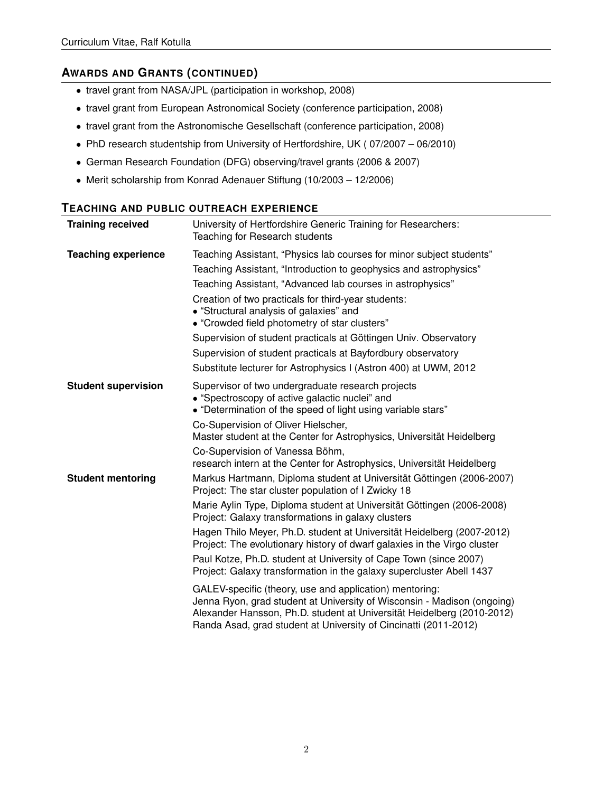## **AWARDS AND GRANTS (CONTINUED)**

- travel grant from NASA/JPL (participation in workshop, 2008)
- travel grant from European Astronomical Society (conference participation, 2008)
- travel grant from the Astronomische Gesellschaft (conference participation, 2008)
- PhD research studentship from University of Hertfordshire, UK ( 07/2007 06/2010)
- German Research Foundation (DFG) observing/travel grants (2006 & 2007)
- Merit scholarship from Konrad Adenauer Stiftung (10/2003 12/2006)

#### **TEACHING AND PUBLIC OUTREACH EXPERIENCE**

| <b>Training received</b>   | University of Hertfordshire Generic Training for Researchers:<br>Teaching for Research students                                                                                                                                                                                                                                                                                                                                                                                                                                                                                                                                                                                                                                                                                                                                                     |
|----------------------------|-----------------------------------------------------------------------------------------------------------------------------------------------------------------------------------------------------------------------------------------------------------------------------------------------------------------------------------------------------------------------------------------------------------------------------------------------------------------------------------------------------------------------------------------------------------------------------------------------------------------------------------------------------------------------------------------------------------------------------------------------------------------------------------------------------------------------------------------------------|
| <b>Teaching experience</b> | Teaching Assistant, "Physics lab courses for minor subject students"<br>Teaching Assistant, "Introduction to geophysics and astrophysics"<br>Teaching Assistant, "Advanced lab courses in astrophysics"<br>Creation of two practicals for third-year students:<br>• "Structural analysis of galaxies" and<br>• "Crowded field photometry of star clusters"<br>Supervision of student practicals at Göttingen Univ. Observatory<br>Supervision of student practicals at Bayfordbury observatory<br>Substitute lecturer for Astrophysics I (Astron 400) at UWM, 2012                                                                                                                                                                                                                                                                                  |
| <b>Student supervision</b> | Supervisor of two undergraduate research projects<br>• "Spectroscopy of active galactic nuclei" and<br>• "Determination of the speed of light using variable stars"<br>Co-Supervision of Oliver Hielscher,<br>Master student at the Center for Astrophysics, Universität Heidelberg<br>Co-Supervision of Vanessa Böhm,<br>research intern at the Center for Astrophysics, Universität Heidelberg                                                                                                                                                                                                                                                                                                                                                                                                                                                    |
| <b>Student mentoring</b>   | Markus Hartmann, Diploma student at Universität Göttingen (2006-2007)<br>Project: The star cluster population of I Zwicky 18<br>Marie Aylin Type, Diploma student at Universität Göttingen (2006-2008)<br>Project: Galaxy transformations in galaxy clusters<br>Hagen Thilo Meyer, Ph.D. student at Universität Heidelberg (2007-2012)<br>Project: The evolutionary history of dwarf galaxies in the Virgo cluster<br>Paul Kotze, Ph.D. student at University of Cape Town (since 2007)<br>Project: Galaxy transformation in the galaxy supercluster Abell 1437<br>GALEV-specific (theory, use and application) mentoring:<br>Jenna Ryon, grad student at University of Wisconsin - Madison (ongoing)<br>Alexander Hansson, Ph.D. student at Universität Heidelberg (2010-2012)<br>Randa Asad, grad student at University of Cincinatti (2011-2012) |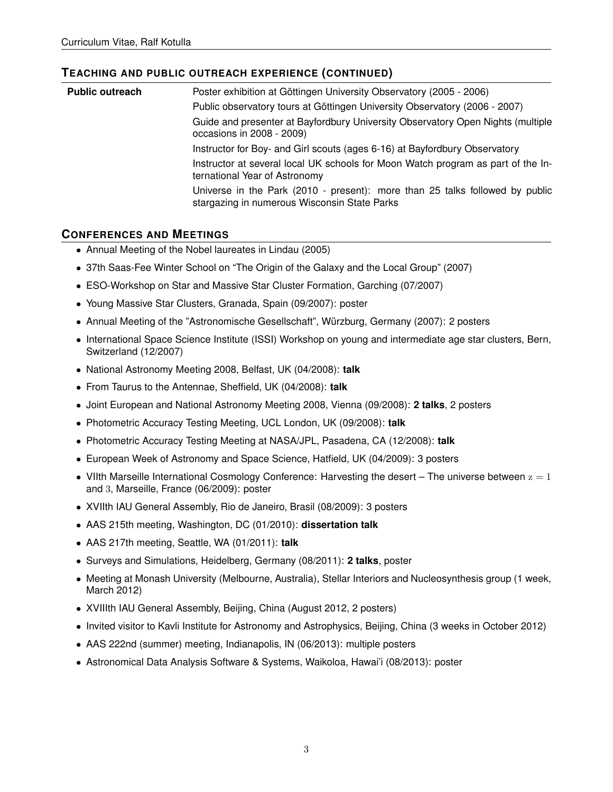### **TEACHING AND PUBLIC OUTREACH EXPERIENCE (CONTINUED)**

| <b>Public outreach</b> | Poster exhibition at Göttingen University Observatory (2005 - 2006)                                                          |
|------------------------|------------------------------------------------------------------------------------------------------------------------------|
|                        | Public observatory tours at Göttingen University Observatory (2006 - 2007)                                                   |
|                        | Guide and presenter at Bayfordbury University Observatory Open Nights (multiple<br>occasions in 2008 - 2009)                 |
|                        | Instructor for Boy- and Girl scouts (ages 6-16) at Bayfordbury Observatory                                                   |
|                        | Instructor at several local UK schools for Moon Watch program as part of the In-<br>ternational Year of Astronomy            |
|                        | Universe in the Park (2010 - present): more than 25 talks followed by public<br>stargazing in numerous Wisconsin State Parks |

### **CONFERENCES AND MEETINGS**

- Annual Meeting of the Nobel laureates in Lindau (2005)
- 37th Saas-Fee Winter School on "The Origin of the Galaxy and the Local Group" (2007)
- ESO-Workshop on Star and Massive Star Cluster Formation, Garching (07/2007)
- Young Massive Star Clusters, Granada, Spain (09/2007): poster
- Annual Meeting of the "Astronomische Gesellschaft", Würzburg, Germany (2007): 2 posters
- International Space Science Institute (ISSI) Workshop on young and intermediate age star clusters, Bern, Switzerland (12/2007)
- National Astronomy Meeting 2008, Belfast, UK (04/2008): **talk**
- From Taurus to the Antennae, Sheffield, UK (04/2008): **talk**
- Joint European and National Astronomy Meeting 2008, Vienna (09/2008): **2 talks**, 2 posters
- Photometric Accuracy Testing Meeting, UCL London, UK (09/2008): **talk**
- Photometric Accuracy Testing Meeting at NASA/JPL, Pasadena, CA (12/2008): **talk**
- European Week of Astronomy and Space Science, Hatfield, UK (04/2009): 3 posters
- VIIth Marseille International Cosmology Conference: Harvesting the desert The universe between  $z = 1$ and 3, Marseille, France (06/2009): poster
- XVIIth IAU General Assembly, Rio de Janeiro, Brasil (08/2009): 3 posters
- AAS 215th meeting, Washington, DC (01/2010): **dissertation talk**
- AAS 217th meeting, Seattle, WA (01/2011): **talk**
- Surveys and Simulations, Heidelberg, Germany (08/2011): **2 talks**, poster
- Meeting at Monash University (Melbourne, Australia), Stellar Interiors and Nucleosynthesis group (1 week, March 2012)
- XVIIIth IAU General Assembly, Beijing, China (August 2012, 2 posters)
- Invited visitor to Kavli Institute for Astronomy and Astrophysics, Beijing, China (3 weeks in October 2012)
- AAS 222nd (summer) meeting, Indianapolis, IN (06/2013): multiple posters
- Astronomical Data Analysis Software & Systems, Waikoloa, Hawai'i (08/2013): poster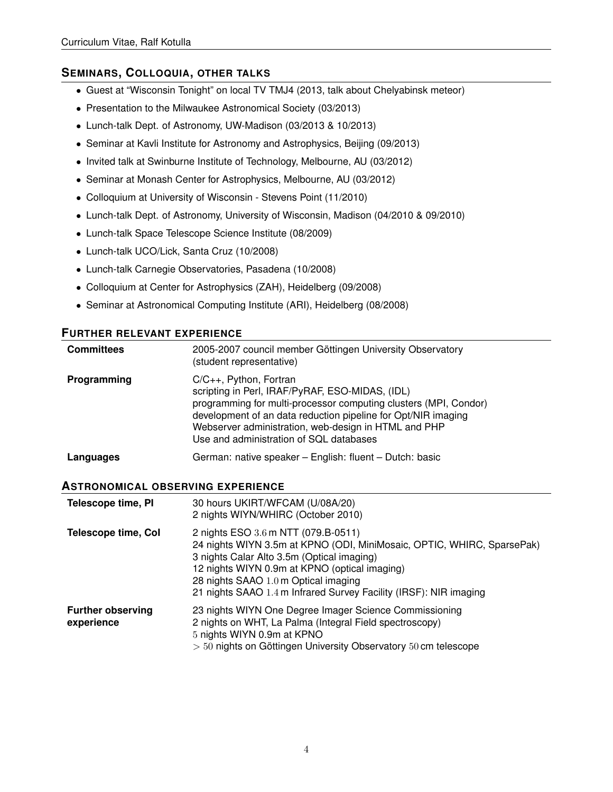### **SEMINARS, COLLOQUIA, OTHER TALKS**

- Guest at "Wisconsin Tonight" on local TV TMJ4 (2013, talk about Chelyabinsk meteor)
- Presentation to the Milwaukee Astronomical Society (03/2013)
- Lunch-talk Dept. of Astronomy, UW-Madison (03/2013 & 10/2013)
- Seminar at Kavli Institute for Astronomy and Astrophysics, Beijing (09/2013)
- Invited talk at Swinburne Institute of Technology, Melbourne, AU (03/2012)
- Seminar at Monash Center for Astrophysics, Melbourne, AU (03/2012)
- Colloquium at University of Wisconsin Stevens Point (11/2010)
- Lunch-talk Dept. of Astronomy, University of Wisconsin, Madison (04/2010 & 09/2010)
- Lunch-talk Space Telescope Science Institute (08/2009)
- Lunch-talk UCO/Lick, Santa Cruz (10/2008)
- Lunch-talk Carnegie Observatories, Pasadena (10/2008)
- Colloquium at Center for Astrophysics (ZAH), Heidelberg (09/2008)
- Seminar at Astronomical Computing Institute (ARI), Heidelberg (08/2008)

#### **FURTHER RELEVANT EXPERIENCE**

| <b>Committees</b> | 2005-2007 council member Göttingen University Observatory<br>(student representative)                                                                                                                                                                                                                                   |
|-------------------|-------------------------------------------------------------------------------------------------------------------------------------------------------------------------------------------------------------------------------------------------------------------------------------------------------------------------|
| Programming       | $C/C_{++}$ , Python, Fortran<br>scripting in Perl, IRAF/PyRAF, ESO-MIDAS, (IDL)<br>programming for multi-processor computing clusters (MPI, Condor)<br>development of an data reduction pipeline for Opt/NIR imaging<br>Webserver administration, web-design in HTML and PHP<br>Use and administration of SQL databases |
| Languages         | German: native speaker – English: fluent – Dutch: basic                                                                                                                                                                                                                                                                 |

#### **ASTRONOMICAL OBSERVING EXPERIENCE**

| Telescope time, PI                     | 30 hours UKIRT/WFCAM (U/08A/20)<br>2 nights WIYN/WHIRC (October 2010)                                                                                                                                                                                                                                                     |
|----------------------------------------|---------------------------------------------------------------------------------------------------------------------------------------------------------------------------------------------------------------------------------------------------------------------------------------------------------------------------|
| <b>Telescope time, Col</b>             | 2 nights ESO 3.6 m NTT (079.B-0511)<br>24 nights WIYN 3.5m at KPNO (ODI, MiniMosaic, OPTIC, WHIRC, SparsePak)<br>3 nights Calar Alto 3.5m (Optical imaging)<br>12 nights WIYN 0.9m at KPNO (optical imaging)<br>28 nights SAAO 1.0 m Optical imaging<br>21 nights SAAO 1.4 m Infrared Survey Facility (IRSF): NIR imaging |
| <b>Further observing</b><br>experience | 23 nights WIYN One Degree Imager Science Commissioning<br>2 nights on WHT, La Palma (Integral Field spectroscopy)<br>5 nights WIYN 0.9m at KPNO<br>$>$ 50 nights on Göttingen University Observatory 50 cm telescope                                                                                                      |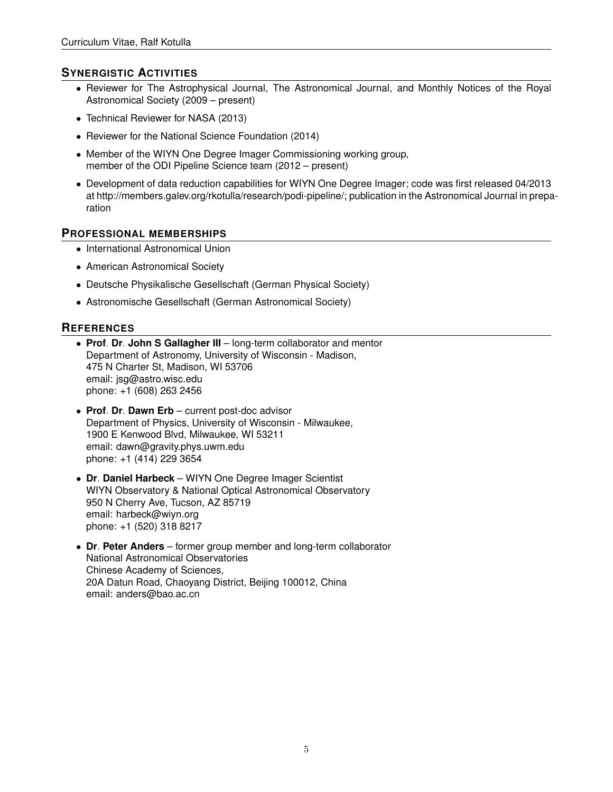### **SYNERGISTIC ACTIVITIES**

- Reviewer for The Astrophysical Journal, The Astronomical Journal, and Monthly Notices of the Royal Astronomical Society (2009 – present)
- Technical Reviewer for NASA (2013)
- Reviewer for the National Science Foundation (2014)
- Member of the WIYN One Degree Imager Commissioning working group, member of the ODI Pipeline Science team (2012 – present)
- Development of data reduction capabilities for WIYN One Degree Imager; code was first released 04/2013 at http://members.galev.org/rkotulla/research/podi-pipeline/; publication in the Astronomical Journal in preparation

#### **PROFESSIONAL MEMBERSHIPS**

- International Astronomical Union
- American Astronomical Society
- Deutsche Physikalische Gesellschaft (German Physical Society)
- Astronomische Gesellschaft (German Astronomical Society)

### **REFERENCES**

- **Prof**. **Dr**. **John S Gallagher III** long-term collaborator and mentor Department of Astronomy, University of Wisconsin - Madison, 475 N Charter St, Madison, WI 53706 email: jsg@astro.wisc.edu phone: +1 (608) 263 2456
- **Prof**. **Dr**. **Dawn Erb** current post-doc advisor Department of Physics, University of Wisconsin - Milwaukee, 1900 E Kenwood Blvd, Milwaukee, WI 53211 email: dawn@gravity.phys.uwm.edu phone: +1 (414) 229 3654
- **Dr**. **Daniel Harbeck** WIYN One Degree Imager Scientist WIYN Observatory & National Optical Astronomical Observatory 950 N Cherry Ave, Tucson, AZ 85719 email: harbeck@wiyn.org phone: +1 (520) 318 8217
- **Dr**. **Peter Anders** former group member and long-term collaborator National Astronomical Observatories Chinese Academy of Sciences, 20A Datun Road, Chaoyang District, Beijing 100012, China email: anders@bao.ac.cn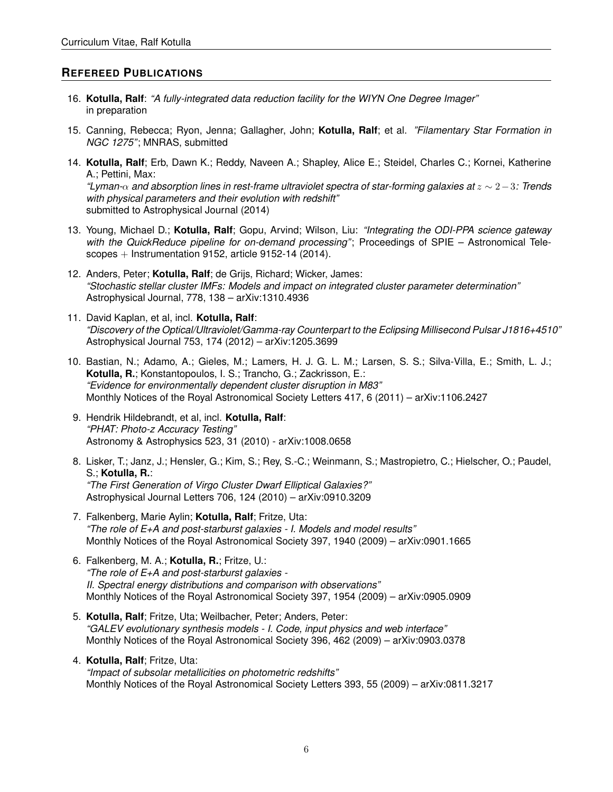### **REFEREED PUBLICATIONS**

- 16. **Kotulla, Ralf**: *"A fully-integrated data reduction facility for the WIYN One Degree Imager"* in preparation
- 15. Canning, Rebecca; Ryon, Jenna; Gallagher, John; **Kotulla, Ralf**; et al. *"Filamentary Star Formation in NGC 1275"*; MNRAS, submitted
- 14. **Kotulla, Ralf**; Erb, Dawn K.; Reddy, Naveen A.; Shapley, Alice E.; Steidel, Charles C.; Kornei, Katherine A.; Pettini, Max: *"Lyman-*α *and absorption lines in rest-frame ultraviolet spectra of star-forming galaxies at* z ∼ 2−3*: Trends with physical parameters and their evolution with redshift"* submitted to Astrophysical Journal (2014)
- 13. Young, Michael D.; **Kotulla, Ralf**; Gopu, Arvind; Wilson, Liu: *"Integrating the ODI-PPA science gateway with the QuickReduce pipeline for on-demand processing"*; Proceedings of SPIE – Astronomical Telescopes + Instrumentation 9152, article 9152-14 (2014).
- 12. Anders, Peter; **Kotulla, Ralf**; de Grijs, Richard; Wicker, James: *"Stochastic stellar cluster IMFs: Models and impact on integrated cluster parameter determination"* Astrophysical Journal, 778, 138 – arXiv:1310.4936
- 11. David Kaplan, et al, incl. **Kotulla, Ralf**: *"Discovery of the Optical/Ultraviolet/Gamma-ray Counterpart to the Eclipsing Millisecond Pulsar J1816+4510"* Astrophysical Journal 753, 174 (2012) – arXiv:1205.3699
- 10. Bastian, N.; Adamo, A.; Gieles, M.; Lamers, H. J. G. L. M.; Larsen, S. S.; Silva-Villa, E.; Smith, L. J.; **Kotulla, R.**; Konstantopoulos, I. S.; Trancho, G.; Zackrisson, E.: *"Evidence for environmentally dependent cluster disruption in M83"* Monthly Notices of the Royal Astronomical Society Letters 417, 6 (2011) – arXiv:1106.2427
- 9. Hendrik Hildebrandt, et al, incl. **Kotulla, Ralf**: *"PHAT: Photo-z Accuracy Testing"* Astronomy & Astrophysics 523, 31 (2010) - arXiv:1008.0658
- 8. Lisker, T.; Janz, J.; Hensler, G.; Kim, S.; Rey, S.-C.; Weinmann, S.; Mastropietro, C.; Hielscher, O.; Paudel, S.; **Kotulla, R.**: *"The First Generation of Virgo Cluster Dwarf Elliptical Galaxies?"* Astrophysical Journal Letters 706, 124 (2010) – arXiv:0910.3209
- 7. Falkenberg, Marie Aylin; **Kotulla, Ralf**; Fritze, Uta: *"The role of E+A and post-starburst galaxies - I. Models and model results"* Monthly Notices of the Royal Astronomical Society 397, 1940 (2009) – arXiv:0901.1665
- 6. Falkenberg, M. A.; **Kotulla, R.**; Fritze, U.: *"The role of E+A and post-starburst galaxies - II. Spectral energy distributions and comparison with observations"* Monthly Notices of the Royal Astronomical Society 397, 1954 (2009) – arXiv:0905.0909
- 5. **Kotulla, Ralf**; Fritze, Uta; Weilbacher, Peter; Anders, Peter: *"GALEV evolutionary synthesis models - I. Code, input physics and web interface"* Monthly Notices of the Royal Astronomical Society 396, 462 (2009) – arXiv:0903.0378
- 4. **Kotulla, Ralf**; Fritze, Uta: *"Impact of subsolar metallicities on photometric redshifts"* Monthly Notices of the Royal Astronomical Society Letters 393, 55 (2009) – arXiv:0811.3217